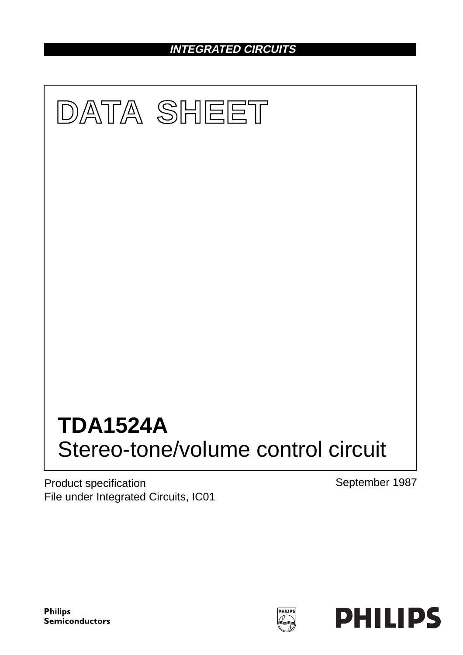# **INTEGRATED CIRCUITS**



Product specification File under Integrated Circuits, IC01 September 1987



PHILIPS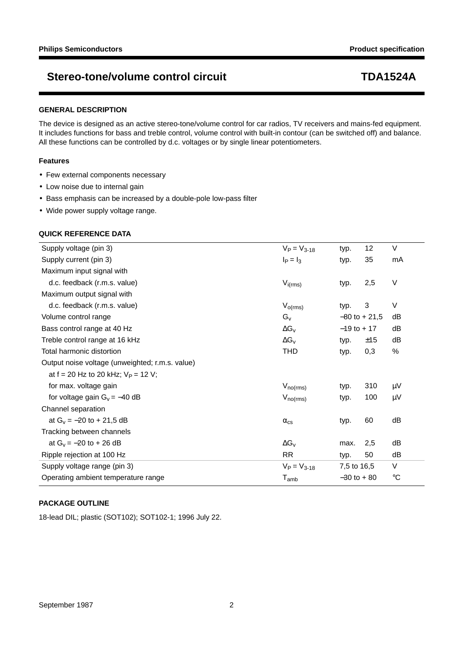### **GENERAL DESCRIPTION**

The device is designed as an active stereo-tone/volume control for car radios, TV receivers and mains-fed equipment. It includes functions for bass and treble control, volume control with built-in contour (can be switched off) and balance. All these functions can be controlled by d.c. voltages or by single linear potentiometers.

### **Features**

- Few external components necessary
- Low noise due to internal gain
- Bass emphasis can be increased by a double-pole low-pass filter
- Wide power supply voltage range.

### **QUICK REFERENCE DATA**

| Supply voltage (pin 3)                          | $V_P = V_{3-18}$     | typ.             | 12  | V           |
|-------------------------------------------------|----------------------|------------------|-----|-------------|
| Supply current (pin 3)                          | $I_P = I_3$          | typ.             | 35  | mA          |
| Maximum input signal with                       |                      |                  |     |             |
| d.c. feedback (r.m.s. value)                    | $V_{i(rms)}$         | typ.             | 2,5 | $\vee$      |
| Maximum output signal with                      |                      |                  |     |             |
| d.c. feedback (r.m.s. value)                    | $V_{o(rms)}$         | typ.             | 3   | V           |
| Volume control range                            | $G_v$                | $-80$ to $+21,5$ |     | dB          |
| Bass control range at 40 Hz                     | $\Delta G_{v}$       | $-19$ to + 17    |     | dB          |
| Treble control range at 16 kHz                  | $\Delta G_V$         | typ.             | ±15 | dB          |
| Total harmonic distortion                       | <b>THD</b>           | typ.             | 0,3 | %           |
| Output noise voltage (unweighted; r.m.s. value) |                      |                  |     |             |
| at $f = 20$ Hz to 20 kHz; $V_P = 12$ V;         |                      |                  |     |             |
| for max. voltage gain                           | $V_{no(rms)}$        | typ.             | 310 | $\mu$ V     |
| for voltage gain $G_v = -40$ dB                 | $V_{\text{no(rms)}}$ | typ.             | 100 | μV          |
| Channel separation                              |                      |                  |     |             |
| at $G_v = -20$ to $+ 21,5$ dB                   | $\alpha_{\rm cs}$    | typ.             | 60  | dB          |
| Tracking between channels                       |                      |                  |     |             |
| at $G_v = -20$ to + 26 dB                       | $\Delta G_V$         | max.             | 2,5 | dB          |
| Ripple rejection at 100 Hz                      | <b>RR</b>            | typ.             | 50  | dB          |
| Supply voltage range (pin 3)                    | $V_P = V_{3-18}$     | 7,5 to 16,5      |     | V           |
| Operating ambient temperature range             | $T_{amb}$            | $-30$ to $+80$   |     | $^{\circ}C$ |

### **PACKAGE OUTLINE**

18-lead DIL; plastic (SOT102); SOT102-1; 1996 July 22.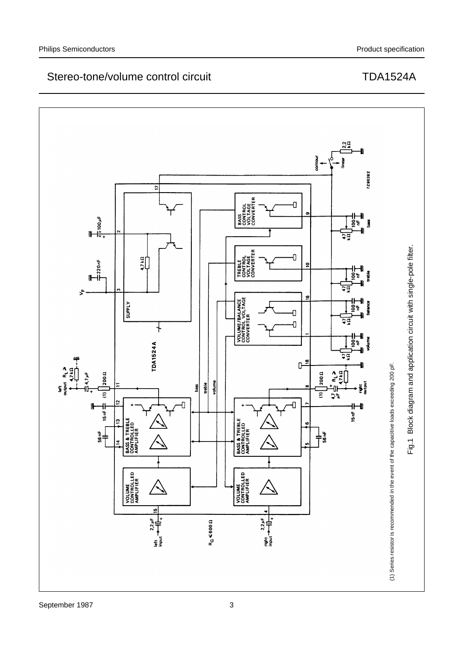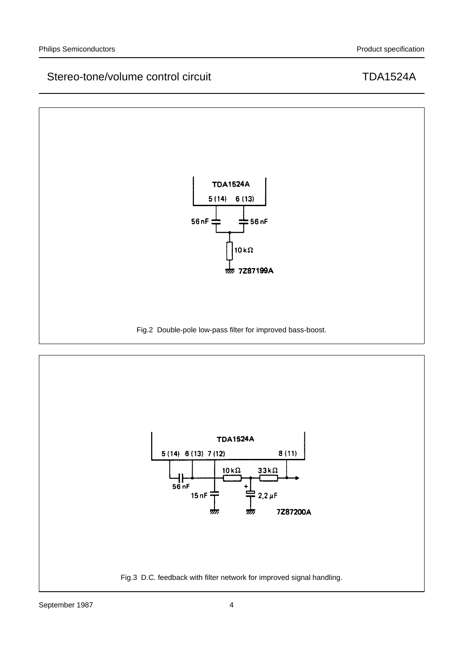

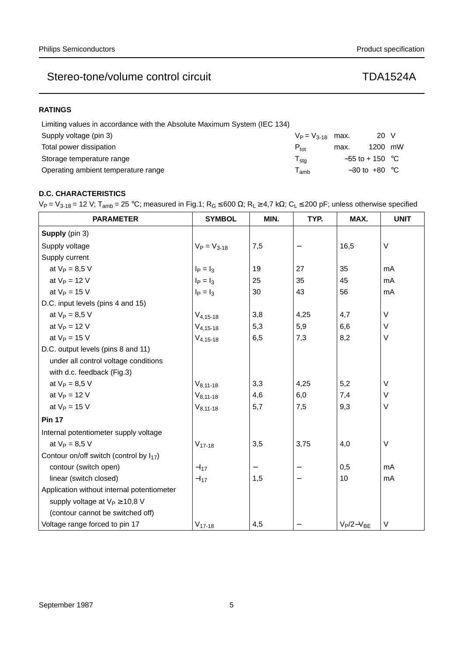### **RATINGS**

| Limiting values in accordance with the Absolute Maximum System (IEC 134) |                       |                   |                   |  |
|--------------------------------------------------------------------------|-----------------------|-------------------|-------------------|--|
| Supply voltage (pin 3)                                                   | $V_P = V_{3-18}$ max. |                   | 20 V              |  |
| Total power dissipation                                                  | $P_{\text{tot}}$      | max.              | 1200 mW           |  |
| Storage temperature range                                                | $T_{\sf stg}$         | $-55$ to + 150 °C |                   |  |
| Operating ambient temperature range                                      | amb                   |                   | $-30$ to $+80$ °C |  |

## **D.C. CHARACTERISTICS**

 $V_P = V_{3-18} = 12$  V; T<sub>amb</sub> = 25 °C; measured in Fig.1; R<sub>G</sub> ≤ 600  $\Omega$ ; R<sub>L</sub> ≥ 4,7 k $\Omega$ ; C<sub>L</sub> ≤ 200 pF; unless otherwise specified

| <b>PARAMETER</b>                             | <b>SYMBOL</b>    | MIN. | TYP. | MAX.           | <b>UNIT</b> |
|----------------------------------------------|------------------|------|------|----------------|-------------|
| Supply (pin 3)                               |                  |      |      |                |             |
| Supply voltage                               | $V_P = V_{3-18}$ | 7,5  |      | 16,5           | V           |
| Supply current                               |                  |      |      |                |             |
| at $V_P = 8.5 V$                             | $I_P = I_3$      | 19   | 27   | 35             | mA          |
| at $V_P = 12 V$                              | $I_P = I_3$      | 25   | 35   | 45             | mA          |
| at $V_P = 15$ V                              | $I_P = I_3$      | 30   | 43   | 56             | mA          |
| D.C. input levels (pins 4 and 15)            |                  |      |      |                |             |
| at $V_P = 8.5 V$                             | $V_{4,15-18}$    | 3,8  | 4,25 | 4,7            | V           |
| at $V_P = 12 V$                              | $V_{4,15-18}$    | 5,3  | 5,9  | 6,6            | $\vee$      |
| at $V_P = 15$ V                              | $V_{4,15-18}$    | 6,5  | 7,3  | 8,2            | V           |
| D.C. output levels (pins 8 and 11)           |                  |      |      |                |             |
| under all control voltage conditions         |                  |      |      |                |             |
| with d.c. feedback (Fig.3)                   |                  |      |      |                |             |
| at $V_P = 8.5 V$                             | $V_{8,11-18}$    | 3,3  | 4,25 | 5,2            | V           |
| at $V_P = 12 V$                              | $V_{8,11-18}$    | 4,6  | 6,0  | 7,4            | V           |
| at $V_P = 15$ V                              | $V_{8,11-18}$    | 5,7  | 7,5  | 9,3            | V           |
| <b>Pin 17</b>                                |                  |      |      |                |             |
| Internal potentiometer supply voltage        |                  |      |      |                |             |
| at $V_P = 8.5 V$                             | $V_{17-18}$      | 3,5  | 3,75 | 4,0            | V           |
| Contour on/off switch (control by $I_{17}$ ) |                  |      |      |                |             |
| contour (switch open)                        | $-I_{17}$        |      |      | 0,5            | mA          |
| linear (switch closed)                       | $-I_{17}$        | 1,5  |      | 10             | mA          |
| Application without internal potentiometer   |                  |      |      |                |             |
| supply voltage at $V_P \ge 10,8$ V           |                  |      |      |                |             |
| (contour cannot be switched off)             |                  |      |      |                |             |
| Voltage range forced to pin 17               | $V_{17-18}$      | 4,5  |      | $V_P/2-V_{BE}$ | $\vee$      |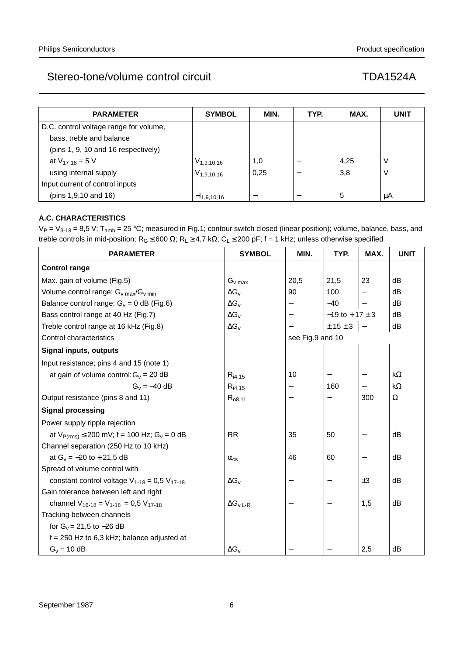| <b>PARAMETER</b>                       | <b>SYMBOL</b>   | MIN. | TYP. | MAX. | <b>UNIT</b> |
|----------------------------------------|-----------------|------|------|------|-------------|
| D.C. control voltage range for volume, |                 |      |      |      |             |
| bass, treble and balance               |                 |      |      |      |             |
| (pins 1, 9, 10 and 16 respectively)    |                 |      |      |      |             |
| at $V_{17-18} = 5 V$                   | $V_{1,9,10,16}$ | 1,0  |      | 4,25 | ν           |
| using internal supply                  | $V_{1,9,10,16}$ | 0,25 |      | 3,8  | ν           |
| Input current of control inputs        |                 |      |      |      |             |
| (pins 1,9,10 and 16)                   | $-11.9.10.16$   |      |      | 5    | μA          |

## **A.C. CHARACTERISTICS**

 $V_P = V_{3-18} = 8.5$  V; T<sub>amb</sub> = 25 °C; measured in Fig.1; contour switch closed (linear position); volume, balance, bass, and treble controls in mid-position;  $R_G \le 600 \Omega$ ;  $R_L \ge 4.7$  kΩ;  $C_L \le 200$  pF; f = 1 kHz; unless otherwise specified

| <b>PARAMETER</b>                                              | <b>SYMBOL</b>          | MIN.             | TYP.                       | MAX.                     | <b>UNIT</b> |
|---------------------------------------------------------------|------------------------|------------------|----------------------------|--------------------------|-------------|
| <b>Control range</b>                                          |                        |                  |                            |                          |             |
| Max. gain of volume (Fig.5)                                   | $G_{v \, max}$         | 20,5             | 21,5                       | 23                       | dB          |
| Volume control range; $G_v$ max/ $G_v$ min                    | $\Delta G_V$           | 90               | 100                        | $\overline{\phantom{0}}$ | dB          |
| Balance control range; $G_v = 0$ dB (Fig.6)                   | $\Delta G_V$           |                  | $-40$                      |                          | dB          |
| Bass control range at 40 Hz (Fig.7)                           | $\Delta G_{v}$         |                  | $-19$ to + 17 $\pm$ 3      |                          | dB          |
| Treble control range at 16 kHz (Fig.8)                        | $\Delta G_V$           |                  | $\pm$ 15 $\pm$ 3 $\vert$ - |                          | dB          |
| Control characteristics                                       |                        | see Fig.9 and 10 |                            |                          |             |
| <b>Signal inputs, outputs</b>                                 |                        |                  |                            |                          |             |
| Input resistance; pins 4 and 15 (note 1)                      |                        |                  |                            |                          |             |
| at gain of volume control: $G_v = 20$ dB                      | $R_{i4,15}$            | 10               |                            |                          | $k\Omega$   |
| $G_v = -40$ dB                                                | $R_{i4,15}$            |                  | 160                        |                          | $k\Omega$   |
| Output resistance (pins 8 and 11)                             | $R_{08,11}$            |                  |                            | 300                      | $\Omega$    |
| <b>Signal processing</b>                                      |                        |                  |                            |                          |             |
| Power supply ripple rejection                                 |                        |                  |                            |                          |             |
| at $V_{P(rms)} \le 200$ mV; f = 100 Hz; G <sub>v</sub> = 0 dB | <b>RR</b>              | 35               | 50                         | $\qquad \qquad -$        | dB          |
| Channel separation (250 Hz to 10 kHz)                         |                        |                  |                            |                          |             |
| at $G_v = -20$ to $+ 21,5$ dB                                 | $\alpha_{\text{cs}}$   | 46               | 60                         |                          | dB          |
| Spread of volume control with                                 |                        |                  |                            |                          |             |
| constant control voltage $V_{1-18} = 0.5 V_{17-18}$           | $\Delta G_{v}$         |                  |                            | ±3                       | dB          |
| Gain tolerance between left and right                         |                        |                  |                            |                          |             |
| channel $V_{16-18} = V_{1-18} = 0.5 V_{17-18}$                | $\Delta G_{\rm V.L-R}$ |                  |                            | 1,5                      | dB          |
| Tracking between channels                                     |                        |                  |                            |                          |             |
| for $G_v = 21.5$ to $-26$ dB                                  |                        |                  |                            |                          |             |
| $f = 250$ Hz to 6,3 kHz; balance adjusted at                  |                        |                  |                            |                          |             |
| $G_v = 10$ dB                                                 | $\Delta G_{v}$         |                  |                            | 2,5                      | dB          |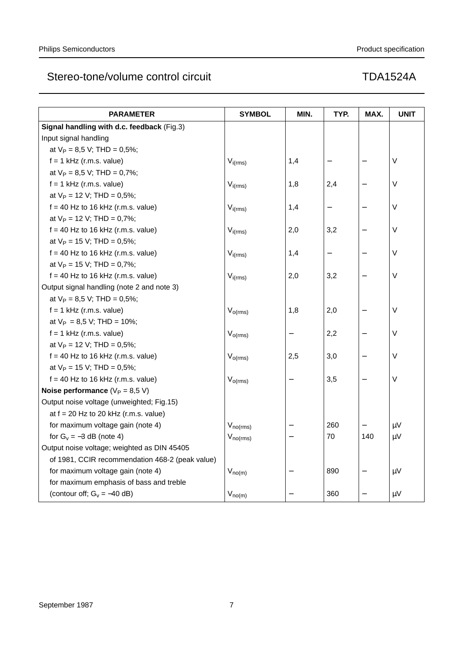| <b>PARAMETER</b>                                | <b>SYMBOL</b> | MIN. | TYP. | MAX. | <b>UNIT</b> |
|-------------------------------------------------|---------------|------|------|------|-------------|
| Signal handling with d.c. feedback (Fig.3)      |               |      |      |      |             |
| Input signal handling                           |               |      |      |      |             |
| at $V_P = 8.5$ V; THD = 0.5%;                   |               |      |      |      |             |
| $f = 1$ kHz (r.m.s. value)                      | $V_{i(rms)}$  | 1,4  |      |      | $\sf V$     |
| at $V_P = 8.5$ V; THD = 0,7%;                   |               |      |      |      |             |
| $f = 1$ kHz (r.m.s. value)                      | $V_{i(rms)}$  | 1,8  | 2,4  |      | V           |
| at $V_P = 12$ V; THD = 0,5%;                    |               |      |      |      |             |
| $f = 40$ Hz to 16 kHz (r.m.s. value)            | $V_{i(rms)}$  | 1,4  |      |      | $\vee$      |
| at $V_P = 12$ V; THD = 0,7%;                    |               |      |      |      |             |
| $f = 40$ Hz to 16 kHz (r.m.s. value)            | $V_{i(rms)}$  | 2,0  | 3,2  |      | $\sf V$     |
| at $V_P = 15$ V; THD = 0,5%;                    |               |      |      |      |             |
| $f = 40$ Hz to 16 kHz (r.m.s. value)            | $V_{i(rms)}$  | 1,4  |      |      | V           |
| at $V_P = 15$ V; THD = 0,7%;                    |               |      |      |      |             |
| $f = 40$ Hz to 16 kHz (r.m.s. value)            | $V_{i(rms)}$  | 2,0  | 3,2  |      | $\vee$      |
| Output signal handling (note 2 and note 3)      |               |      |      |      |             |
| at $V_P = 8.5$ V; THD = 0.5%;                   |               |      |      |      |             |
| $f = 1$ kHz (r.m.s. value)                      | $V_{o(rms)}$  | 1,8  | 2,0  |      | $\sf V$     |
| at $V_P = 8.5 V$ ; THD = 10%;                   |               |      |      |      |             |
| $f = 1$ kHz (r.m.s. value)                      | $V_{o(rms)}$  |      | 2,2  |      | $\vee$      |
| at $V_P = 12$ V; THD = 0,5%;                    |               |      |      |      |             |
| $f = 40$ Hz to 16 kHz (r.m.s. value)            | $V_{o(rms)}$  | 2,5  | 3,0  |      | V           |
| at $V_P = 15$ V; THD = 0,5%;                    |               |      |      |      |             |
| $f = 40$ Hz to 16 kHz (r.m.s. value)            | $V_{o(rms)}$  |      | 3,5  |      | $\vee$      |
| Noise performance ( $V_P = 8.5 V$ )             |               |      |      |      |             |
| Output noise voltage (unweighted; Fig.15)       |               |      |      |      |             |
| at $f = 20$ Hz to 20 kHz (r.m.s. value)         |               |      |      |      |             |
| for maximum voltage gain (note 4)               | $V_{no(rms)}$ |      | 260  |      | $\mu V$     |
| for $G_v = -3$ dB (note 4)                      | $V_{no(rms)}$ |      | 70   | 140  | $\mu$ V     |
| Output noise voltage; weighted as DIN 45405     |               |      |      |      |             |
| of 1981, CCIR recommendation 468-2 (peak value) |               |      |      |      |             |
| for maximum voltage gain (note 4)               | $V_{n o(m)}$  |      | 890  |      | $\mu V$     |
| for maximum emphasis of bass and treble         |               |      |      |      |             |
| (contour off; $G_v = -40$ dB)                   | $V_{no(m)}$   |      | 360  |      | μV          |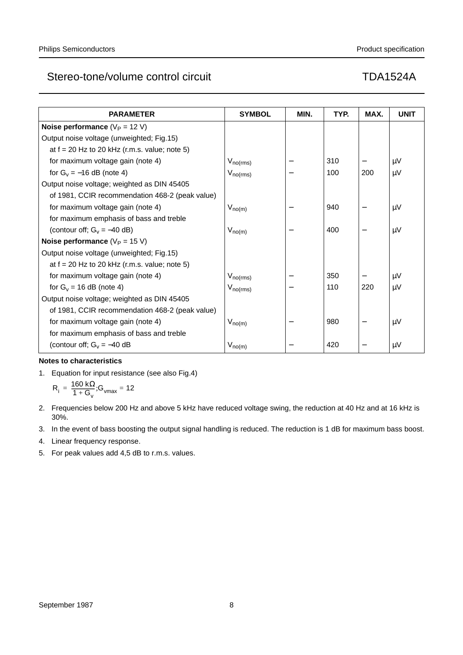| <b>PARAMETER</b>                                | <b>SYMBOL</b>        | MIN. | TYP. | MAX. | <b>UNIT</b> |
|-------------------------------------------------|----------------------|------|------|------|-------------|
| Noise performance $(V_P = 12 V)$                |                      |      |      |      |             |
| Output noise voltage (unweighted; Fig.15)       |                      |      |      |      |             |
| at $f = 20$ Hz to 20 kHz (r.m.s. value; note 5) |                      |      |      |      |             |
| for maximum voltage gain (note 4)               | $V_{\text{no(rms)}}$ |      | 310  |      | μV          |
| for $G_v = -16$ dB (note 4)                     | $V_{\text{no(rms)}}$ |      | 100  | 200  | μV          |
| Output noise voltage; weighted as DIN 45405     |                      |      |      |      |             |
| of 1981, CCIR recommendation 468-2 (peak value) |                      |      |      |      |             |
| for maximum voltage gain (note 4)               | $V_{no(m)}$          |      | 940  |      | μV          |
| for maximum emphasis of bass and treble         |                      |      |      |      |             |
| (contour off; $G_v = -40$ dB)                   | $V_{n o(m)}$         |      | 400  |      | μV          |
| Noise performance ( $V_P = 15 V$ )              |                      |      |      |      |             |
| Output noise voltage (unweighted; Fig.15)       |                      |      |      |      |             |
| at $f = 20$ Hz to 20 kHz (r.m.s. value; note 5) |                      |      |      |      |             |
| for maximum voltage gain (note 4)               | $V_{\text{no(rms)}}$ |      | 350  |      | μV          |
| for $G_v = 16$ dB (note 4)                      | $V_{\text{no(rms)}}$ |      | 110  | 220  | μV          |
| Output noise voltage; weighted as DIN 45405     |                      |      |      |      |             |
| of 1981, CCIR recommendation 468-2 (peak value) |                      |      |      |      |             |
| for maximum voltage gain (note 4)               | $V_{no(m)}$          |      | 980  |      | μV          |
| for maximum emphasis of bass and treble         |                      |      |      |      |             |
| (contour off; $G_v = -40$ dB                    | $V_{n o(m)}$         |      | 420  |      | μV          |

### **Notes to characteristics**

1. Equation for input resistance (see also Fig.4)

$$
R_i = \frac{160 \text{ k}\Omega}{1+G_v}; G_{\text{vmax}} = 12
$$

- 2. Frequencies below 200 Hz and above 5 kHz have reduced voltage swing, the reduction at 40 Hz and at 16 kHz is 30%.
- 3. In the event of bass boosting the output signal handling is reduced. The reduction is 1 dB for maximum bass boost.
- 4. Linear frequency response.
- 5. For peak values add 4,5 dB to r.m.s. values.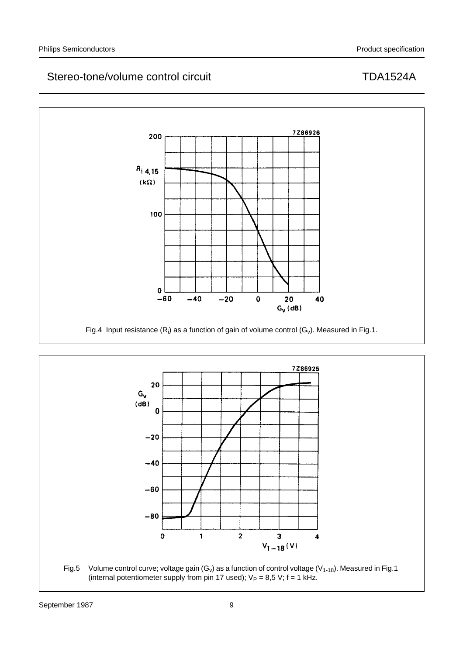



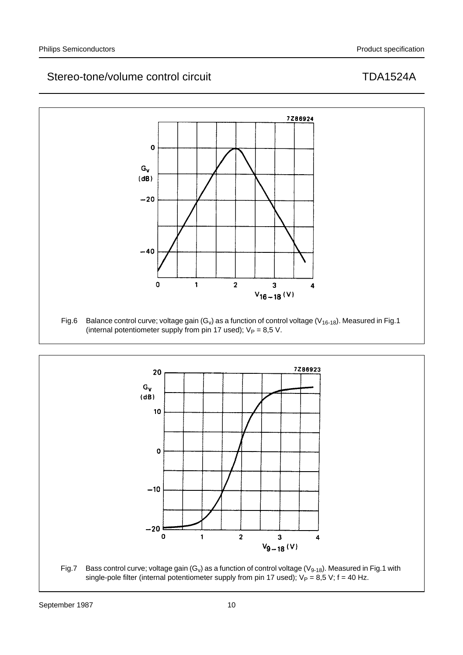



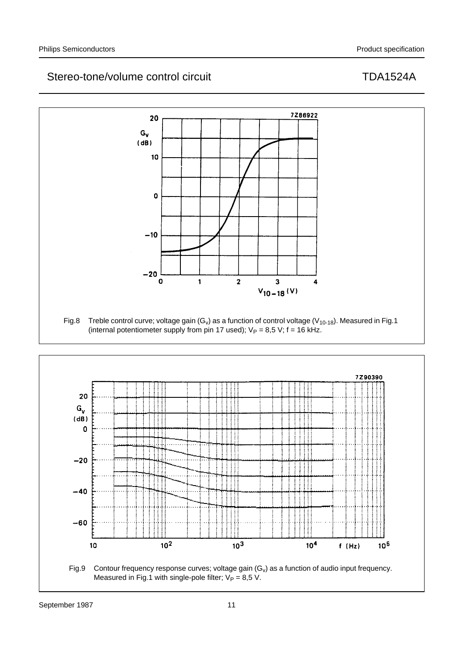



Measured in Fig.1 with single-pole filter;  $V_P = 8.5$  V.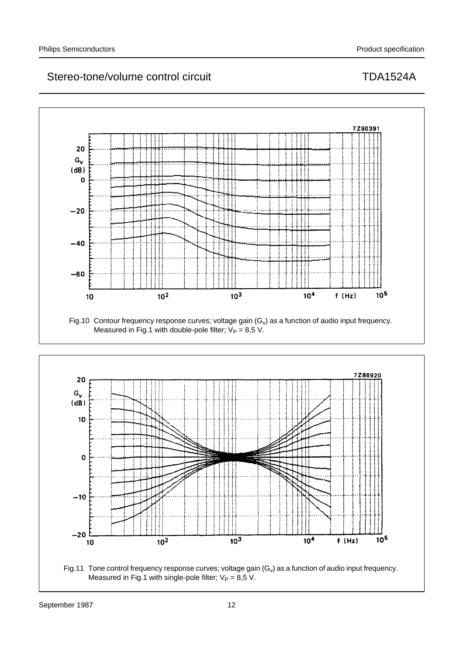



Fig.11 Tone control frequency response curves; voltage gain  $(G_v)$  as a function of audio input frequency. Measured in Fig.1 with single-pole filter;  $V_P = 8.5$  V.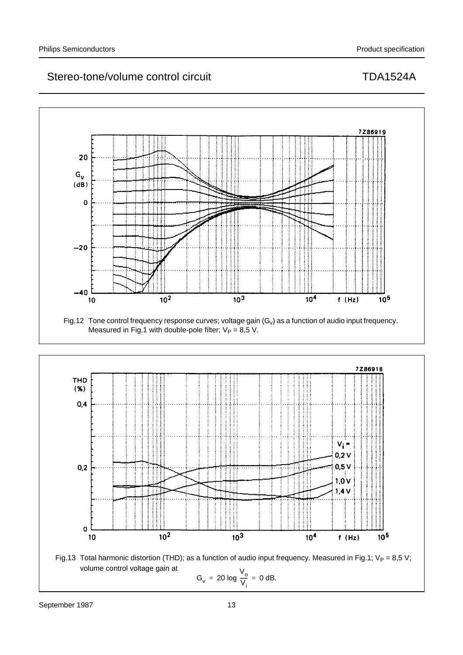

Fig.12 Tone control frequency response curves; voltage gain  $(G_v)$  as a function of audio input frequency. Measured in Fig.1 with double-pole filter;  $V_P = 8.5$  V.



Fig.13 Total harmonic distortion (THD); as a function of audio input frequency. Measured in Fig.1;  $V_P = 8.5 V$ ; volume control voltage gain at  $\ddot{\phantom{0}}$ 

$$
G_v = 20 \log \frac{V_o}{V_i} = 0 \text{ dB}.
$$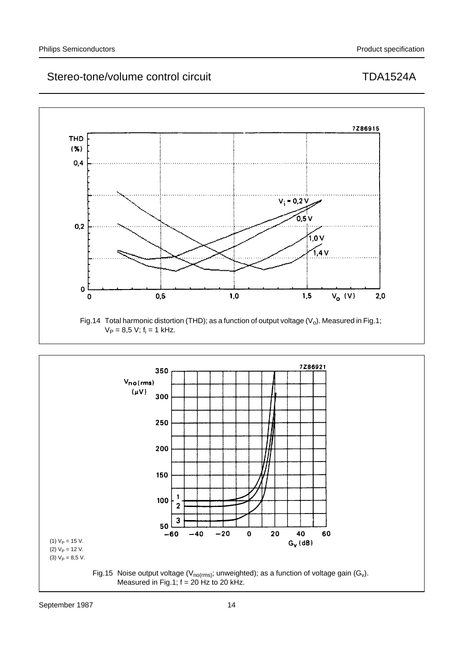



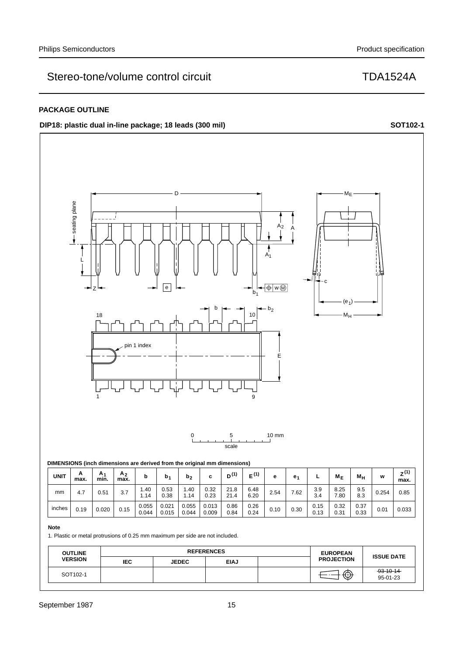### **PACKAGE OUTLINE**

## **DIP18:** plastic dual in-line package; 18 leads (300 mil) **SOT102-1 SOT102-1**



| <b>UNIT</b> | A<br>max. | A۰<br>min. | A <sub>2</sub><br>max. |                | b.             | b,             | с              | D <sup>(1)</sup> | (1)          | е    | e.   |              | $M_{\rm F}$  | $M_H$        | W     | $Z^{(1)}$<br>max. |
|-------------|-----------|------------|------------------------|----------------|----------------|----------------|----------------|------------------|--------------|------|------|--------------|--------------|--------------|-------|-------------------|
| mm          | 4.7       | 0.51       | 3.7                    | .40<br>.14     | 0.53<br>0.38   | 1.40<br>1.14   | 0.32<br>0.23   | 21.8<br>21.4     | 6.48<br>6.20 | 2.54 | 7.62 | 3.9<br>3.4   | 8.25<br>7.80 | 9.5<br>8.3   | 0.254 | 0.85              |
| inches      | 0.19      | 0.020      | 0.15                   | 0.055<br>0.044 | 0.021<br>0.015 | 0.055<br>0.044 | 0.013<br>0.009 | 0.86<br>0.84     | 0.26<br>0.24 | 0.10 | 0.30 | 0.15<br>0.13 | 0.32<br>0.31 | 0.37<br>0.33 | 0.01  | 0.033             |

### **Note**

1. Plastic or metal protrusions of 0.25 mm maximum per side are not included.

| <b>OUTLINE</b> |            | <b>REFERENCES</b> | <b>EUROPEAN</b> | <b>ISSUE DATE</b> |                   |                             |
|----------------|------------|-------------------|-----------------|-------------------|-------------------|-----------------------------|
| <b>VERSION</b> | <b>IEC</b> | <b>JEDEC</b>      | <b>EIAJ</b>     |                   | <b>PROJECTION</b> |                             |
| SOT102-1       |            |                   |                 |                   | ⊕                 | $-93 - 10 - 14$<br>95-01-23 |